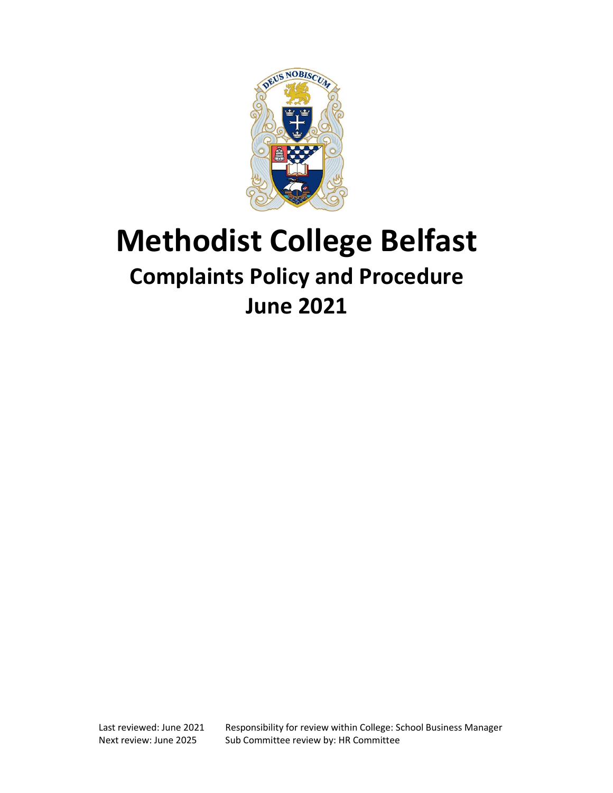

# Methodist College Belfast Complaints Policy and Procedure June 2021

Last reviewed: June 2021 Responsibility for review within College: School Business Manager Next review: June 2025 Sub Committee review by: HR Committee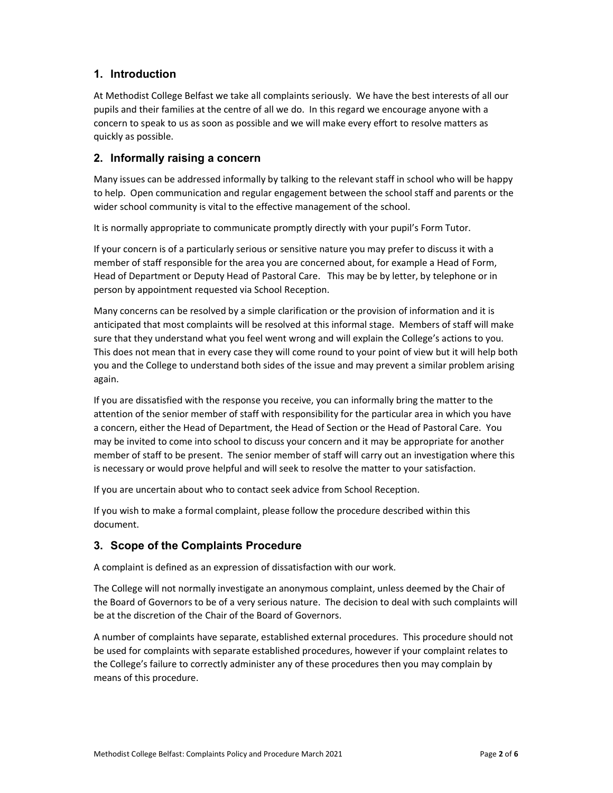# 1. Introduction

At Methodist College Belfast we take all complaints seriously. We have the best interests of all our pupils and their families at the centre of all we do. In this regard we encourage anyone with a concern to speak to us as soon as possible and we will make every effort to resolve matters as quickly as possible.

## 2. Informally raising a concern

Many issues can be addressed informally by talking to the relevant staff in school who will be happy to help. Open communication and regular engagement between the school staff and parents or the wider school community is vital to the effective management of the school.

It is normally appropriate to communicate promptly directly with your pupil's Form Tutor.

If your concern is of a particularly serious or sensitive nature you may prefer to discuss it with a member of staff responsible for the area you are concerned about, for example a Head of Form, Head of Department or Deputy Head of Pastoral Care. This may be by letter, by telephone or in person by appointment requested via School Reception.

Many concerns can be resolved by a simple clarification or the provision of information and it is anticipated that most complaints will be resolved at this informal stage. Members of staff will make sure that they understand what you feel went wrong and will explain the College's actions to you. This does not mean that in every case they will come round to your point of view but it will help both you and the College to understand both sides of the issue and may prevent a similar problem arising again.

If you are dissatisfied with the response you receive, you can informally bring the matter to the attention of the senior member of staff with responsibility for the particular area in which you have a concern, either the Head of Department, the Head of Section or the Head of Pastoral Care. You may be invited to come into school to discuss your concern and it may be appropriate for another member of staff to be present. The senior member of staff will carry out an investigation where this is necessary or would prove helpful and will seek to resolve the matter to your satisfaction.

If you are uncertain about who to contact seek advice from School Reception.

If you wish to make a formal complaint, please follow the procedure described within this document.

# 3. Scope of the Complaints Procedure

A complaint is defined as an expression of dissatisfaction with our work.

The College will not normally investigate an anonymous complaint, unless deemed by the Chair of the Board of Governors to be of a very serious nature. The decision to deal with such complaints will be at the discretion of the Chair of the Board of Governors.

A number of complaints have separate, established external procedures. This procedure should not be used for complaints with separate established procedures, however if your complaint relates to the College's failure to correctly administer any of these procedures then you may complain by means of this procedure.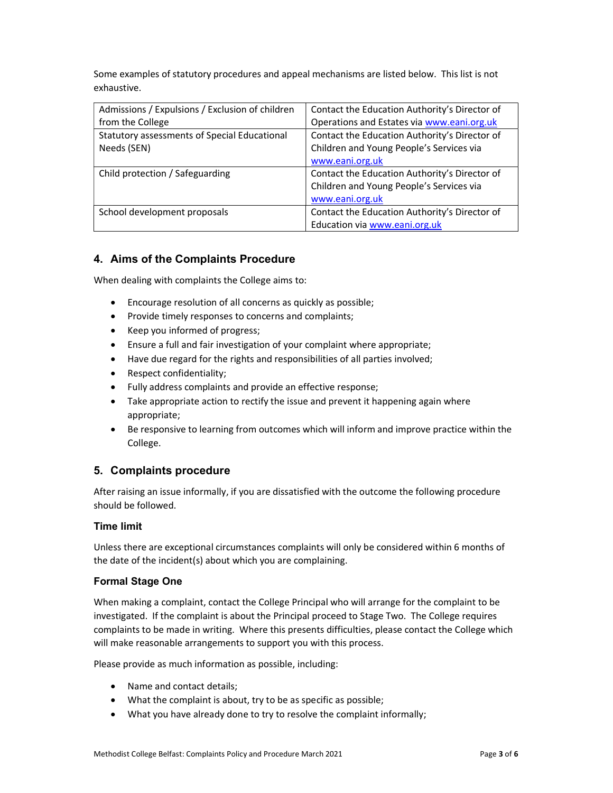Some examples of statutory procedures and appeal mechanisms are listed below. This list is not exhaustive.

| Admissions / Expulsions / Exclusion of children | Contact the Education Authority's Director of |
|-------------------------------------------------|-----------------------------------------------|
| from the College                                | Operations and Estates via www.eani.org.uk    |
| Statutory assessments of Special Educational    | Contact the Education Authority's Director of |
| Needs (SEN)                                     | Children and Young People's Services via      |
|                                                 | www.eani.org.uk                               |
| Child protection / Safeguarding                 | Contact the Education Authority's Director of |
|                                                 | Children and Young People's Services via      |
|                                                 | www.eani.org.uk                               |
| School development proposals                    | Contact the Education Authority's Director of |
|                                                 | Education via www.eani.org.uk                 |

# 4. Aims of the Complaints Procedure

When dealing with complaints the College aims to:

- Encourage resolution of all concerns as quickly as possible;
- Provide timely responses to concerns and complaints;
- Keep you informed of progress;
- Ensure a full and fair investigation of your complaint where appropriate;
- Have due regard for the rights and responsibilities of all parties involved;
- Respect confidentiality;
- Fully address complaints and provide an effective response;
- Take appropriate action to rectify the issue and prevent it happening again where appropriate;
- Be responsive to learning from outcomes which will inform and improve practice within the College.

## 5. Complaints procedure

After raising an issue informally, if you are dissatisfied with the outcome the following procedure should be followed.

### Time limit

Unless there are exceptional circumstances complaints will only be considered within 6 months of the date of the incident(s) about which you are complaining.

### Formal Stage One

When making a complaint, contact the College Principal who will arrange for the complaint to be investigated. If the complaint is about the Principal proceed to Stage Two. The College requires complaints to be made in writing. Where this presents difficulties, please contact the College which will make reasonable arrangements to support you with this process.

Please provide as much information as possible, including:

- Name and contact details;
- What the complaint is about, try to be as specific as possible;
- What you have already done to try to resolve the complaint informally;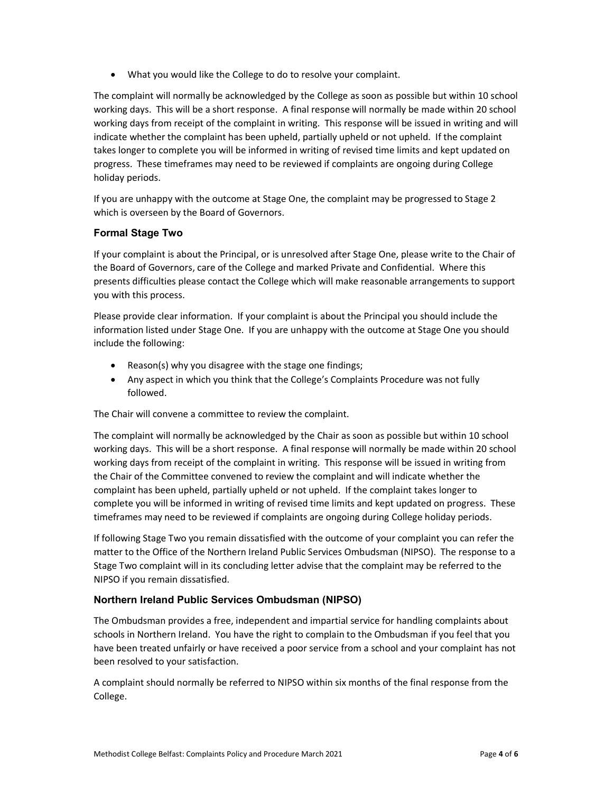What you would like the College to do to resolve your complaint.

The complaint will normally be acknowledged by the College as soon as possible but within 10 school working days. This will be a short response. A final response will normally be made within 20 school working days from receipt of the complaint in writing. This response will be issued in writing and will indicate whether the complaint has been upheld, partially upheld or not upheld. If the complaint takes longer to complete you will be informed in writing of revised time limits and kept updated on progress. These timeframes may need to be reviewed if complaints are ongoing during College holiday periods.

If you are unhappy with the outcome at Stage One, the complaint may be progressed to Stage 2 which is overseen by the Board of Governors.

## Formal Stage Two

If your complaint is about the Principal, or is unresolved after Stage One, please write to the Chair of the Board of Governors, care of the College and marked Private and Confidential. Where this presents difficulties please contact the College which will make reasonable arrangements to support you with this process.

Please provide clear information. If your complaint is about the Principal you should include the information listed under Stage One. If you are unhappy with the outcome at Stage One you should include the following:

- Reason(s) why you disagree with the stage one findings;
- Any aspect in which you think that the College's Complaints Procedure was not fully followed.

The Chair will convene a committee to review the complaint.

The complaint will normally be acknowledged by the Chair as soon as possible but within 10 school working days. This will be a short response. A final response will normally be made within 20 school working days from receipt of the complaint in writing. This response will be issued in writing from the Chair of the Committee convened to review the complaint and will indicate whether the complaint has been upheld, partially upheld or not upheld. If the complaint takes longer to complete you will be informed in writing of revised time limits and kept updated on progress. These timeframes may need to be reviewed if complaints are ongoing during College holiday periods.

If following Stage Two you remain dissatisfied with the outcome of your complaint you can refer the matter to the Office of the Northern Ireland Public Services Ombudsman (NIPSO). The response to a Stage Two complaint will in its concluding letter advise that the complaint may be referred to the NIPSO if you remain dissatisfied.

## Northern Ireland Public Services Ombudsman (NIPSO)

The Ombudsman provides a free, independent and impartial service for handling complaints about schools in Northern Ireland. You have the right to complain to the Ombudsman if you feel that you have been treated unfairly or have received a poor service from a school and your complaint has not been resolved to your satisfaction.

A complaint should normally be referred to NIPSO within six months of the final response from the College.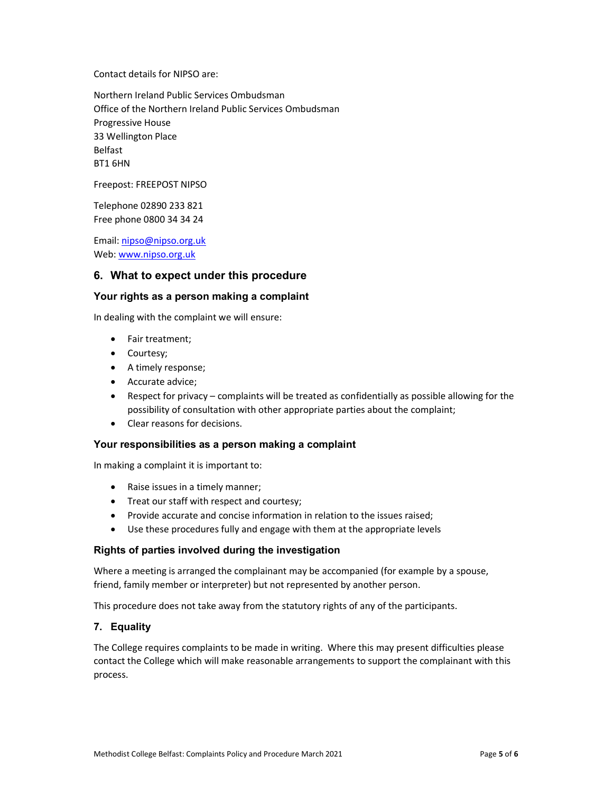Contact details for NIPSO are:

Northern Ireland Public Services Ombudsman Office of the Northern Ireland Public Services Ombudsman Progressive House 33 Wellington Place Belfast BT1 6HN

Freepost: FREEPOST NIPSO

Telephone 02890 233 821 Free phone 0800 34 34 24

Email: nipso@nipso.org.uk Web: www.nipso.org.uk

## 6. What to expect under this procedure

#### Your rights as a person making a complaint

In dealing with the complaint we will ensure:

- Fair treatment;
- Courtesy;
- A timely response;
- Accurate advice;
- Respect for privacy complaints will be treated as confidentially as possible allowing for the possibility of consultation with other appropriate parties about the complaint;
- Clear reasons for decisions.

#### Your responsibilities as a person making a complaint

In making a complaint it is important to:

- Raise issues in a timely manner;
- Treat our staff with respect and courtesy;
- Provide accurate and concise information in relation to the issues raised;
- Use these procedures fully and engage with them at the appropriate levels

### Rights of parties involved during the investigation

Where a meeting is arranged the complainant may be accompanied (for example by a spouse, friend, family member or interpreter) but not represented by another person.

This procedure does not take away from the statutory rights of any of the participants.

### 7. Equality

The College requires complaints to be made in writing. Where this may present difficulties please contact the College which will make reasonable arrangements to support the complainant with this process.